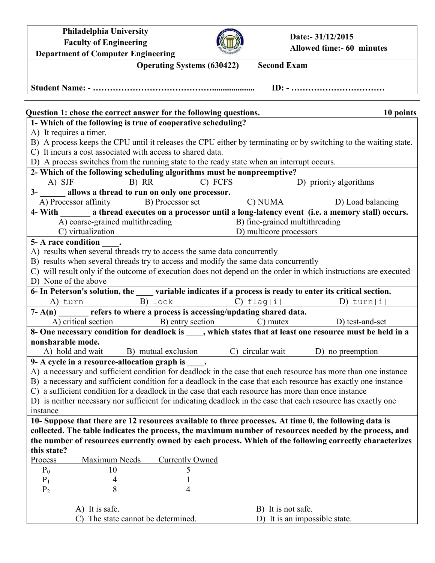| Philadelphia University                                                                                                                     |                         |                                           |  |  |  |  |
|---------------------------------------------------------------------------------------------------------------------------------------------|-------------------------|-------------------------------------------|--|--|--|--|
| <b>Faculty of Engineering</b>                                                                                                               |                         | Date:- 31/12/2015                         |  |  |  |  |
| <b>Department of Computer Engineering</b>                                                                                                   |                         | <b>Allowed time:- 60 minutes</b>          |  |  |  |  |
| <b>Second Exam</b><br><b>Operating Systems (630422)</b>                                                                                     |                         |                                           |  |  |  |  |
|                                                                                                                                             |                         |                                           |  |  |  |  |
|                                                                                                                                             |                         |                                           |  |  |  |  |
|                                                                                                                                             |                         |                                           |  |  |  |  |
|                                                                                                                                             |                         |                                           |  |  |  |  |
| Question 1: chose the correct answer for the following questions.<br>10 points                                                              |                         |                                           |  |  |  |  |
| 1- Which of the following is true of cooperative scheduling?                                                                                |                         |                                           |  |  |  |  |
| A) It requires a timer.<br>B) A process keeps the CPU until it releases the CPU either by terminating or by switching to the waiting state. |                         |                                           |  |  |  |  |
| C) It incurs a cost associated with access to shared data.                                                                                  |                         |                                           |  |  |  |  |
|                                                                                                                                             |                         |                                           |  |  |  |  |
| D) A process switches from the running state to the ready state when an interrupt occurs.                                                   |                         |                                           |  |  |  |  |
| 2- Which of the following scheduling algorithms must be nonpreemptive?<br>C) FCFS<br>A) SJF                                                 |                         |                                           |  |  |  |  |
| B) RR<br>3- allows a thread to run on only one processor.                                                                                   |                         | D) priority algorithms                    |  |  |  |  |
| A) Processor affinity B) Processor set                                                                                                      |                         | C) NUMA D) Load balancing                 |  |  |  |  |
| 4- With a state of a processor until a long-latency event (i.e. a memory stall) occurs.                                                     |                         |                                           |  |  |  |  |
| A) coarse-grained multithreading                                                                                                            |                         | B) fine-grained multithreading            |  |  |  |  |
| C) virtualization                                                                                                                           | D) multicore processors |                                           |  |  |  |  |
| 5- A race condition .                                                                                                                       |                         |                                           |  |  |  |  |
| A) results when several threads try to access the same data concurrently                                                                    |                         |                                           |  |  |  |  |
| B) results when several threads try to access and modify the same data concurrently                                                         |                         |                                           |  |  |  |  |
| C) will result only if the outcome of execution does not depend on the order in which instructions are executed                             |                         |                                           |  |  |  |  |
| D) None of the above                                                                                                                        |                         |                                           |  |  |  |  |
| 6- In Peterson's solution, the same variable indicates if a process is ready to enter its critical section.                                 |                         |                                           |  |  |  |  |
| B) lock<br>A) turn                                                                                                                          | $C)$ flag[i]            | D) turn $[i]$                             |  |  |  |  |
| $7 - A(n)$ refers to where a process is accessing/updating shared data.                                                                     |                         |                                           |  |  |  |  |
| A) critical section                                                                                                                         |                         | B) entry section C) mutex D) test-and-set |  |  |  |  |
| 8- One necessary condition for deadlock is _____, which states that at least one resource must be held in a                                 |                         |                                           |  |  |  |  |
| nonsharable mode.                                                                                                                           |                         |                                           |  |  |  |  |
| A) hold and wait<br>B) mutual exclusion                                                                                                     | C) circular wait        | D) no preemption                          |  |  |  |  |
| 9- A cycle in a resource-allocation graph is                                                                                                |                         |                                           |  |  |  |  |
| A) a necessary and sufficient condition for deadlock in the case that each resource has more than one instance                              |                         |                                           |  |  |  |  |
| B) a necessary and sufficient condition for a deadlock in the case that each resource has exactly one instance                              |                         |                                           |  |  |  |  |
| C) a sufficient condition for a deadlock in the case that each resource has more than once instance                                         |                         |                                           |  |  |  |  |
| D) is neither necessary nor sufficient for indicating deadlock in the case that each resource has exactly one                               |                         |                                           |  |  |  |  |
| instance                                                                                                                                    |                         |                                           |  |  |  |  |
| 10- Suppose that there are 12 resources available to three processes. At time 0, the following data is                                      |                         |                                           |  |  |  |  |
| collected. The table indicates the process, the maximum number of resources needed by the process, and                                      |                         |                                           |  |  |  |  |
| the number of resources currently owned by each process. Which of the following correctly characterizes                                     |                         |                                           |  |  |  |  |
| this state?                                                                                                                                 |                         |                                           |  |  |  |  |
| Maximum Needs<br>Process                                                                                                                    | <b>Currently Owned</b>  |                                           |  |  |  |  |
| $P_0$<br>10                                                                                                                                 | 5                       |                                           |  |  |  |  |
| $P_1$                                                                                                                                       |                         |                                           |  |  |  |  |
| $P_2$<br>8                                                                                                                                  | 4                       |                                           |  |  |  |  |
|                                                                                                                                             |                         |                                           |  |  |  |  |
| A) It is safe.                                                                                                                              | B) It is not safe.      |                                           |  |  |  |  |
|                                                                                                                                             |                         |                                           |  |  |  |  |